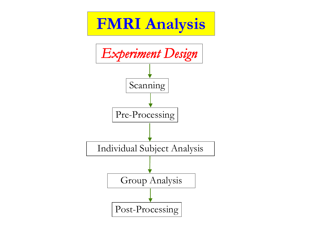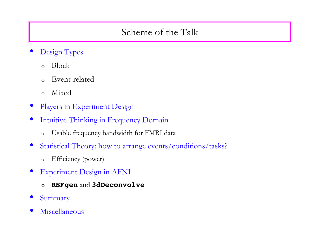# Scheme of the Talk

- Design Types
	- o Block
	- o Event-related
	- o Mixed
- Players in Experiment Design
- Intuitive Thinking in Frequency Domain
	- o Usable frequency bandwidth for FMRI data
- Statistical Theory: how to arrange events/conditions/tasks?
	- o Efficiency (power)
- **Experiment Design in AFNI** 
	- o **RSFgen** and **3dDeconvolve**
- **Summary**
- **Miscellaneous**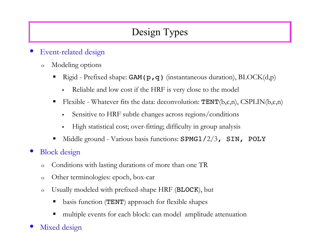# Design Types

### • Event-related design

- o Modeling options
	- Rigid Prefixed shape: GAM( $p, q$ ) (instantaneous duration), BLOCK(d, $p$ )
		- Reliable and low cost if the HRF is very close to the model
	- Flexible Whatever fits the data: deconvolution:  $\text{TENT}(b,c,n)$ ,  $\text{CSPLIN}(b,c,n)$ 
		- Sensitive to HRF subtle changes across regions/conditions
		- High statistical cost; over-fitting; difficulty in group analysis
	- $\blacksquare$  Middle ground Various basis functions: SPMG1/2/3, SIN, POLY
- Block design
	- o Conditions with lasting durations of more than one TR
	- o Other terminologies: epoch, box-car
	- o Usually modeled with prefixed-shape HRF (BLOCK), but
		- basis function (TENT) approach for flexible shapes
		- multiple events for each block: can model amplitude attenuation
- Mixed design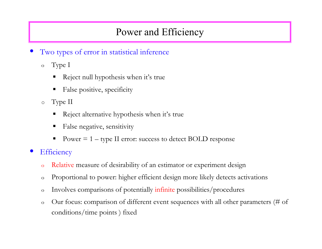# Power and Efficiency

- Two types of error in statistical inference
	- o Type I
		- Reject null hypothesis when it's true
		- False positive, specificity
	- o Type II
		- Reject alternative hypothesis when it's true
		- False negative, sensitivity
		- Power  $= 1 -$  type II error: success to detect BOLD response
- **Efficiency** 
	- o Relative measure of desirability of an estimator or experiment design
	- o Proportional to power: higher efficient design more likely detects activations
	- o Involves comparisons of potentially infinite possibilities/procedures
	- o Our focus: comparison of different event sequences with all other parameters (# of conditions/time points ) fixed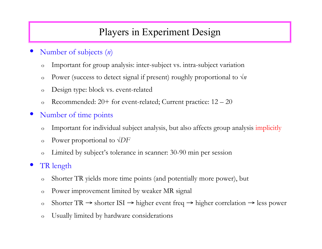# Players in Experiment Design

- Number of subjects (*n*)
	- o Important for group analysis: inter-subject vs. intra-subject variation
	- o Power (success to detect signal if present) roughly proportional to √*n*
	- o Design type: block vs. event-related
	- o Recommended:  $20+$  for event-related; Current practice:  $12-20$
- Number of time points
	- o Important for individual subject analysis, but also affects group analysis implicitly
	- o Power proportional to √*DF*
	- o Limited by subject's tolerance in scanner: 30-90 min per session

#### TR length

- o Shorter TR yields more time points (and potentially more power), but
- o Power improvement limited by weaker MR signal
- o Shorter TR → shorter ISI → higher event freq → higher correlation → less power
- o Usually limited by hardware considerations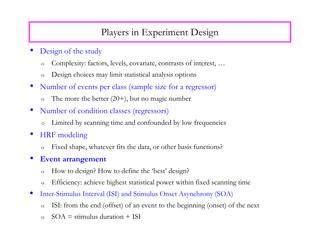# Players in Experiment Design

- Design of the study
	- o Complexity: factors, levels, covariate, contrasts of interest, …
	- o Design choices may limit statistical analysis options
- Number of events per class (sample size for a regressor)
	- o The more the better  $(20+)$ , but no magic number
- Number of condition classes (regressors)
	- o Limited by scanning time and confounded by low frequencies
- HRF modeling
	- o Fixed shape, whatever fits the data, or other basis functions?
- **Event arrangement**
	- o How to design? How to define the 'best' design?
	- o Efficiency: achieve highest statistical power within fixed scanning time
- Inter-Stimulus Interval (ISI) and Stimulus Onset Asynchrony (SOA)
	- o ISI: from the end (offset) of an event to the beginning (onset) of the next
	- $\Omega$  SOA = stimulus duration + ISI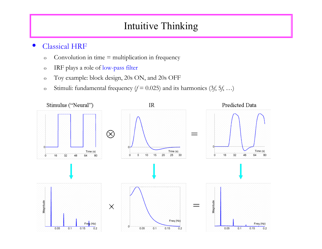# Intuitive Thinking

#### • Classical HRF

- o Convolution in time = multiplication in frequency
- o IRF plays a role of low-pass filter
- o Toy example: block design, 20s ON, and 20s OFF
- o Stimuli: fundamental frequency  $(f = 0.025)$  and its harmonics  $(3f, 5f, ...)$

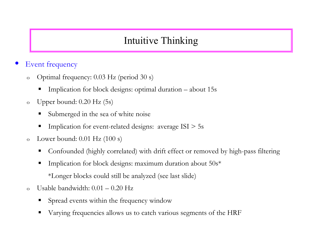# Intuitive Thinking

### **Event frequency**

- o Optimal frequency: 0.03 Hz (period 30 s)
	- Implication for block designs: optimal duration about 15s
- o Upper bound: 0.20 Hz (5s)
	- Submerged in the sea of white noise
	- Implication for event-related designs: average ISI > 5s
- $o$  Lower bound:  $0.01$  Hz  $(100 s)$ 
	- Confounded (highly correlated) with drift effect or removed by high-pass filtering
	- Implication for block designs: maximum duration about 50s\*
		- \*Longer blocks could still be analyzed (see last slide)
- o Usable bandwidth: 0.01 0.20 Hz
	- Spread events within the frequency window
	- Varying frequencies allows us to catch various segments of the HRF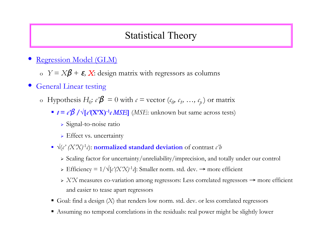## Statistical Theory

- Regression Model (GLM)
	- o *Y* = *X*β + <sup>ε</sup>*, X*: design matrix with regressors as columns
- General Linear testing
	- o Hypothesis  $H_0$ :  $c'\beta = 0$  with  $c =$  vector  $(c_0, c_1, ..., c_n)$  or matrix
		- $t = c'β / √ [c'(X'X)^{-1}c MSE]$  **(***MSE***: unknown but same across tests)** 
			- Signal-to-noise ratio
			- > Effect vs. uncertainty
		- $\sqrt{(c'(X'X) 1)}$  **normalized standard deviation** of contrast *c'b* 
			- Scaling factor for uncertainty/unreliability/imprecision, and totally under our control
			- > Efficiency =  $1/\sqrt{c^2}$   $\frac{X^2}{2}$   $\frac{1}{c^2}$ : Smaller norm. std. dev. → more efficient
			- *X'X* measures co-variation among regressors: Less correlated regressors → more efficient and easier to tease apart regressors
		- Goal: find a design  $(X)$  that renders low norm. std. dev. or less correlated regressors
		- Assuming no temporal correlations in the residuals: real power might be slightly lower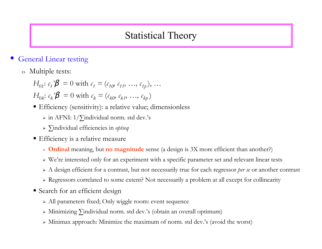# Statistical Theory

#### **General Linear testing**

o Multiple tests:

$$
H_{01}: c_1'\mathcal{B} = 0 \text{ with } c_1 = (c_{10}, c_{11}, \dots, c_{1p}), \dots
$$
  

$$
H_{0k}: c_k'\mathcal{B} = 0 \text{ with } c_k = (c_{k0}, c_{k1}, \dots, c_{kp})
$$

- Efficiency (sensitivity): a relative value; dimensionless
	- in AFNI: 1/∑individual norm. std dev.'s
	- ∑individual efficiencies in *optseq*
- **Efficiency is a relative measure** 
	- **Ordinal** meaning, but **no magnitude** sense (a design is 3X more efficient than another?)
	- We're interested only for an experiment with a specific parameter set and relevant linear tests
	- A design efficient for a contrast, but not necessarily true for each regressor *per se* or another contrast
	- Regressors correlated to some extent? Not necessarily a problem at all except for collinearity
- **Search for an efficient design** 
	- All parameters fixed; Only wiggle room: event sequence
	- Minimizing ∑individual norm. std dev.'s (obtain an overall optimum)
	- Minimax approach: Minimize the maximum of norm. std dev.'s (avoid the worst)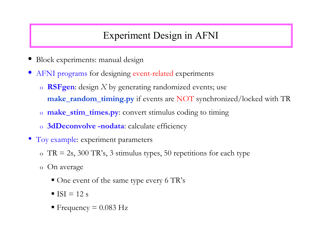- Block experiments: manual design
- AFNI programs for designing event-related experiments
	- o **RSFgen**: design *X* by generating randomized events; use **make\_random\_timing.py** if events are NOT synchronized/locked with TR
	- o **make\_stim\_times.py**: convert stimulus coding to timing
	- o **3dDeconvolve -nodata**: calculate efficiency
- Toy example: experiment parameters
	- o  $TR = 2s$ , 300 TR's, 3 stimulus types, 50 repetitions for each type
	- o On average
		- One event of the same type every 6 TR's
		- $\blacksquare$  ISI = 12 s
		- Frequency =  $0.083$  Hz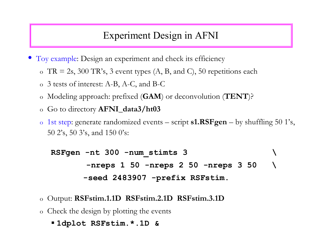- Toy example: Design an experiment and check its efficiency
	- o  $TR = 2s$ , 300 TR's, 3 event types  $(A, B, and C)$ , 50 repetitions each
	- o 3 tests of interest: A-B, A-C, and B-C
	- o Modeling approach: prefixed (**GAM**) or deconvolution (**TENT**)?
	- o Go to directory **AFNI\_data3/ht03**
	- o 1st step: generate randomized events script **s1.RSFgen** by shuffling 50 1's, 50 2's, 50 3's, and 150 0's:

```
RSFgen -nt 300 -num_stimts 3 \
        -nreps 1 50 -nreps 2 50 -nreps 3 50 \
        -seed 2483907 -prefix RSFstim.
```
- o Output: **RSFstim.1.1D RSFstim.2.1D RSFstim.3.1D**
- o Check the design by plotting the events

#### **1dplot RSFstim.\*.1D &**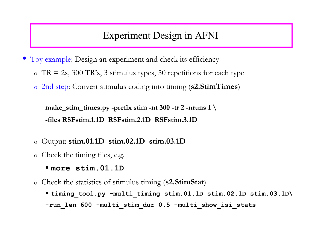- Toy example: Design an experiment and check its efficiency
	- o  $TR = 2s$ , 300 TR's, 3 stimulus types, 50 repetitions for each type
	- o 2nd step: Convert stimulus coding into timing (**s2.StimTimes**)

**make\_stim\_times.py -prefix stim -nt 300 -tr 2 -nruns 1 \ -files RSFstim.1.1D RSFstim.2.1D RSFstim.3.1D**

- o Output: **stim.01.1D stim.02.1D stim.03.1D**
- o Check the timing files, e.g.
	- **more stim.01.1D**

o Check the statistics of stimulus timing (**s2.StimStat**)

 **timing\_tool.py -multi\_timing stim.01.1D stim.02.1D stim.03.1D\** -run len 600 -multi stim dur 0.5 -multi show isi stats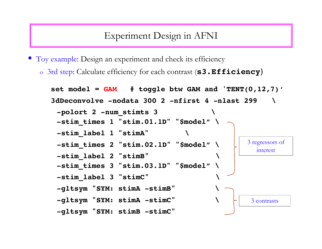• Toy example: Design an experiment and check its efficiency

o 3rd step: Calculate efficiency for each contrast (**s3.Efficiency**)

```
set model = GAM # toggle btw GAM and 'TENT(0,12,7)'3dDeconvolve -nodata 300 2 -nfirst 4 -nlast 299 \
 -polort 2 -num_stimts 3 \
 -stim_times 1 "stim.01.1D" "$model" \
 -stim_label 1 "stimA" \
 -stim_times 2 "stim.02.1D" "$model" \
 -stim_label 2 "stimB"         \
 -stim_times 3 "stim.03.1D" "$model" \
 -stim_label 3 "stimC"         \
 -gltsym "SYM: stimA -stimB"        \
 -gltsym "SYM: stimA -stimC"       \
 -gltsym "SYM: stimB -stimC"
                                                    3 contrasts
                                                   3 regressors of
                                                      interest
```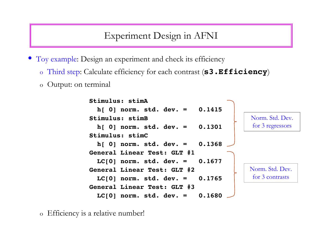• Toy example: Design an experiment and check its efficiency

- o Third step: Calculate efficiency for each contrast (**s3.Efficiency**)
- o Output: on terminal

```
 Stimulus: stimA
   h[ 0] norm. std. dev. = 0.1415
Stimulus: stimB
   h[ 0] norm. std. dev. = 0.1301
Stimulus: stimC
   h[ 0] norm. std. dev. = 0.1368
General Linear Test: GLT #1
   LC[0] norm. std. dev. = 0.1677
General Linear Test: GLT #2
   LC[0] norm. std. dev. = 0.1765
General Linear Test: GLT #3
  LC[0] norm. std. dev. = 0.1680
                                           Norm. Std. Dev.
                                            for 3 contrasts
                                            Norm. Std. Dev.
                                            for 3 regressors
```
o Efficiency is a relative number!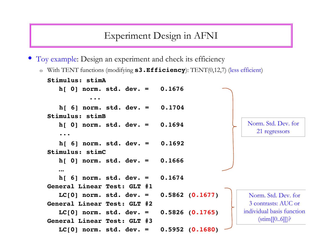• Toy example: Design an experiment and check its efficiency

o With TENT functions (modifying **s3.Efficiency**): TENT(0,12,7) (less efficient)

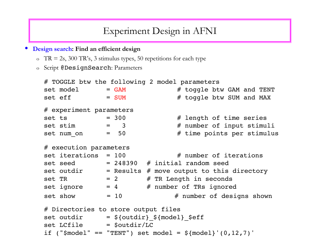- **Design search: Find an efficient design**
	- o  $TR = 2s$ , 300 TR's, 3 stimulus types, 50 repetitions for each type
	- o Script @DesignSearch: Parameters

```
# TOGGLE btw the following 2 model parameters
set model = GAM \# toggle btw GAM and TENT
set eff = SUM \# toggle btw SUM and MAX
# experiment parameters
set ts = 300 \# length of time series
set stim = 3 \# number of input stimuli
set num on = 50 \# time points per stimulus
# execution parameters
set iterations = 100 \# number of iterations
set seed = 248390 # initial random seed
set outdir = Results # move output to this directory
set TR = 2 \# TR Length in seconds
set ignore = 4 \# number of TRs ignored
set show = 10 \# number of designs shown
# Directories to store output files
set outdir = ${outdir} ${model} $eff
set LCfile = $outdir/LCif ("$model" == "TENT") set model = ${model}'(0,12,7)'
```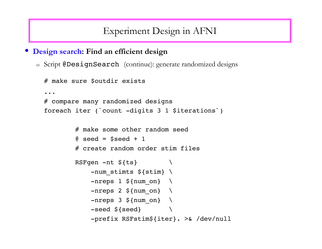• **Design search: Find an efficient design**

o Script @DesignSearch (continue): generate randomized designs

```
# make sure $outdir exists
...
# compare many randomized designs
foreach iter (`count -digits 3 1 $iterations`)
                # make some other random seed
        @ seed = $seed + 1        # create random order stim files
        RSFqen -nt \ \{ts}
             -num stimts ${stim} \
             -nreps 1 ${num on} \
             -nreps 2 ${num on} \
             -nreps 3 ${num on} \
             -seed \{seed} \setminus            -prefix RSFstim${iter}. >& /dev/null
```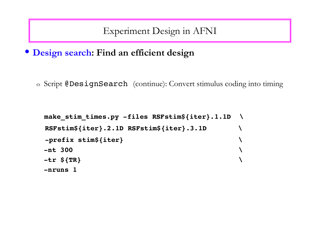• **Design search: Find an efficient design**

o Script @DesignSearch (continue): Convert stimulus coding into timing

```
    make_stim_times.py -files RSFstim${iter}.1.1D \
 RSFstim${iter}.2.1D RSFstim${iter}.3.1D     \
  -prefix stim${iter} \
-nt 300     \
-tr ${TR}
-nruns 1
```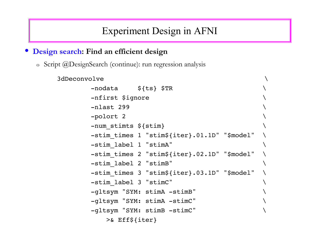#### • **Design search: Find an efficient design**

o Script @DesignSearch (continue): run regression analysis

### $3d$ Deconvolve  $-$ nodata  $\frac{1}{2}$ {ts} \$TR -nfirst \$ignore  $-nlast$  299  $-polort<sub>2</sub>$  $-$ num stimts  $$$ {stim} -stim\_times 1 "stim\${iter}.01.1D" "\$model" \  $-$ stim label 1 "stimA" -stim times 2 "stim\${iter}.02.1D" "\$model"  $-$ stim label 2 "stimB" -stim times 3 "stim\${iter}.03.1D" "\$model"  $-$ stim label 3 "stimC" -gltsym "SYM: stimA -stimB" \ -gltsym "SYM: stimA -stimC" \ -gltsym "SYM: stimB -stimC" \ >& Eff\${iter}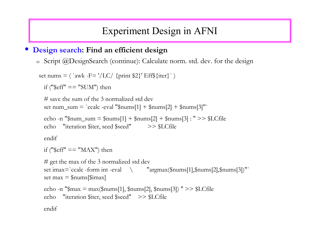#### • **Design search: Find an efficient design**

o Script @DesignSearch (continue): Calculate norm. std. dev. for the design

```
set nums = ( `awk -F= '/LC/ {print $2}' Eff${iter}`)
 if ("\mathcal{E}eff" == "SUM") then
```

```
# save the sum of the 3 normalized std dev
set num_sum = `ccalc -eval "\gammanums[1] + \gammanums[2] + \gammanums[3]"
```

```
echo -n "\text{\$num\_sum} = \text{\$nums[1]} + \text{\$nums[2]} + \text{\$nums[3]} : " \implies \text{\$LCfile}echo    "iteration $iter, seed $seed"          >> $LCfile
```
endif

```
if ("\mathcal{E}ff" == "MAX") then
```

```
# get the max of the 3 normalized std dev
set imax=`ccalc -form int -eval \qquad "argmax(\text{\$nums[1],}\text{\$nums[2],}\text{\$nums[3]}\"`
set max = $nums[$imax]
echo -n "\text{max} = \text{max}(\text{max}[1], \text{sum}[2], \text{sum}[3])" >> \text{LCfile}echo    "iteration $iter, seed $seed"    >> $LCfile
```
endif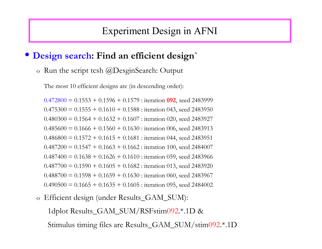### • **Design search: Find an efficient design`**

o Run the script tcsh @DesginSearch: Output

The most 10 efficient designs are (in descending order):

 $0.472800 = 0.1553 + 0.1596 + 0.1579$ : iteration **092**, seed 2483999  $0.475300 = 0.1555 + 0.1610 + 0.1588$ : iteration 043, seed 2483950  $0.480300 = 0.1564 + 0.1632 + 0.1607$ : iteration 020, seed 2483927  $0.485600 = 0.1666 + 0.1560 + 0.1630$ : iteration 006, seed 2483913  $0.486800 = 0.1572 + 0.1615 + 0.1681$ : iteration 044, seed 2483951  $0.487200 = 0.1547 + 0.1663 + 0.1662$ : iteration 100, seed 2484007  $0.487400 = 0.1638 + 0.1626 + 0.1610$ : iteration 059, seed 2483966  $0.487700 = 0.1590 + 0.1605 + 0.1682$ : iteration 013, seed 2483920  $0.488700 = 0.1598 + 0.1659 + 0.1630$ : iteration 060, seed 2483967  $0.490500 = 0.1665 + 0.1635 + 0.1605$ : iteration 095, seed 2484002

o Efficient design (under Results\_GAM\_SUM): 1dplot Results\_GAM\_SUM/RSFstim092.\*.1D & Stimulus timing files are Results\_GAM\_SUM/stim092.\*.1D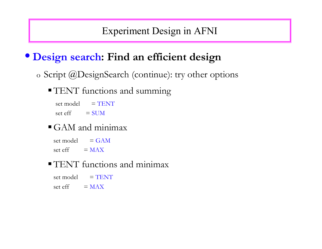# • **Design search: Find an efficient design**

o Script @DesignSearch (continue): try other options

### **TENT** functions and summing

- $set model = TENT$
- set  $eff = SUM$

### GAM and minimax

- $set model = GAM$
- set eff  $= MAX$

### **TENT** functions and minimax

- $set model = TENT$
- set eff  $= MAX$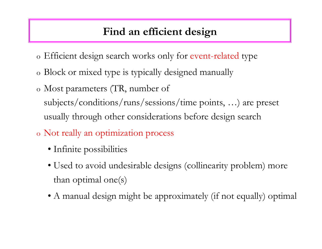# **Find an efficient design**

- o Efficient design search works only for event-related type
- o Block or mixed type is typically designed manually
- o Most parameters (TR, number of subjects/conditions/runs/sessions/time points, …) are preset usually through other considerations before design search
- o Not really an optimization process
	- Infinite possibilities
	- Used to avoid undesirable designs (collinearity problem) more than optimal one(s)
	- A manual design might be approximately (if not equally) optimal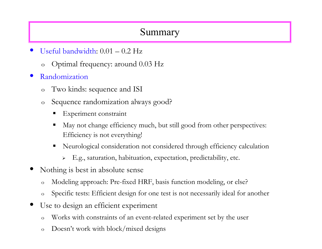## Summary

- Useful bandwidth: 0.01 0.2 Hz
	- o Optimal frequency: around 0.03 Hz
- Randomization
	- o Two kinds: sequence and ISI
	- o Sequence randomization always good?
		- Experiment constraint
		- May not change efficiency much, but still good from other perspectives: Efficiency is not everything!
		- Neurological consideration not considered through efficiency calculation
			- E.g., saturation, habituation, expectation, predictability, etc.
- Nothing is best in absolute sense
	- o Modeling approach: Pre-fixed HRF, basis function modeling, or else?
	- o Specific tests: Efficient design for one test is not necessarily ideal for another
- Use to design an efficient experiment
	- o Works with constraints of an event-related experiment set by the user
	- o Doesn't work with block/mixed designs